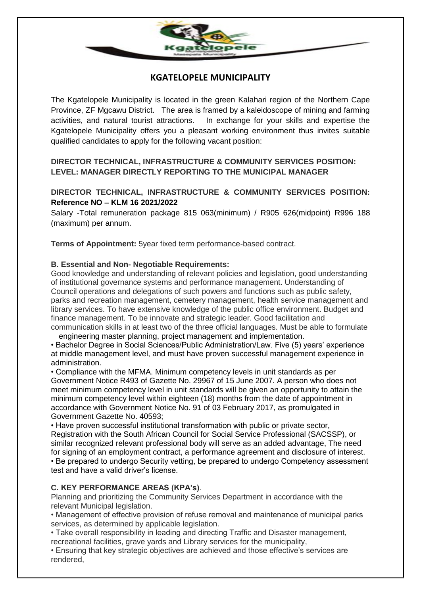

# **KGATELOPELE MUNICIPALITY**

The Kgatelopele Municipality is located in the green Kalahari region of the Northern Cape Province, ZF Mgcawu District. The area is framed by a kaleidoscope of mining and farming activities, and natural tourist attractions. In exchange for your skills and expertise the Kgatelopele Municipality offers you a pleasant working environment thus invites suitable qualified candidates to apply for the following vacant position:

**DIRECTOR TECHNICAL, INFRASTRUCTURE & COMMUNITY SERVICES POSITION: LEVEL: MANAGER DIRECTLY REPORTING TO THE MUNICIPAL MANAGER**

## **DIRECTOR TECHNICAL, INFRASTRUCTURE & COMMUNITY SERVICES POSITION: Reference NO – KLM 16 2021/2022**

Salary -Total remuneration package 815 063(minimum) / R905 626(midpoint) R996 188 (maximum) per annum.

**Terms of Appointment:** 5year fixed term performance-based contract.

#### **B. Essential and Non- Negotiable Requirements:**

Good knowledge and understanding of relevant policies and legislation, good understanding of institutional governance systems and performance management. Understanding of Council operations and delegations of such powers and functions such as public safety, parks and recreation management, cemetery management, health service management and library services. To have extensive knowledge of the public office environment. Budget and finance management. To be innovate and strategic leader. Good facilitation and communication skills in at least two of the three official languages. Must be able to formulate

engineering master planning, project management and implementation. • Bachelor Degree in Social Sciences/Public Administration/Law. Five (5) years' experience at middle management level, and must have proven successful management experience in administration.

• Compliance with the MFMA. Minimum competency levels in unit standards as per Government Notice R493 of Gazette No. 29967 of 15 June 2007. A person who does not meet minimum competency level in unit standards will be given an opportunity to attain the minimum competency level within eighteen (18) months from the date of appointment in accordance with Government Notice No. 91 of 03 February 2017, as promulgated in Government Gazette No. 40593;

• Have proven successful institutional transformation with public or private sector, Registration with the South African Council for Social Service Professional (SACSSP), or similar recognized relevant professional body will serve as an added advantage, The need for signing of an employment contract, a performance agreement and disclosure of interest. • Be prepared to undergo Security vetting, be prepared to undergo Competency assessment test and have a valid driver's license.

### **C. KEY PERFORMANCE AREAS (KPA's)**.

Planning and prioritizing the Community Services Department in accordance with the relevant Municipal legislation.

• Management of effective provision of refuse removal and maintenance of municipal parks services, as determined by applicable legislation.

• Take overall responsibility in leading and directing Traffic and Disaster management, recreational facilities, grave yards and Library services for the municipality,

• Ensuring that key strategic objectives are achieved and those effective's services are rendered,